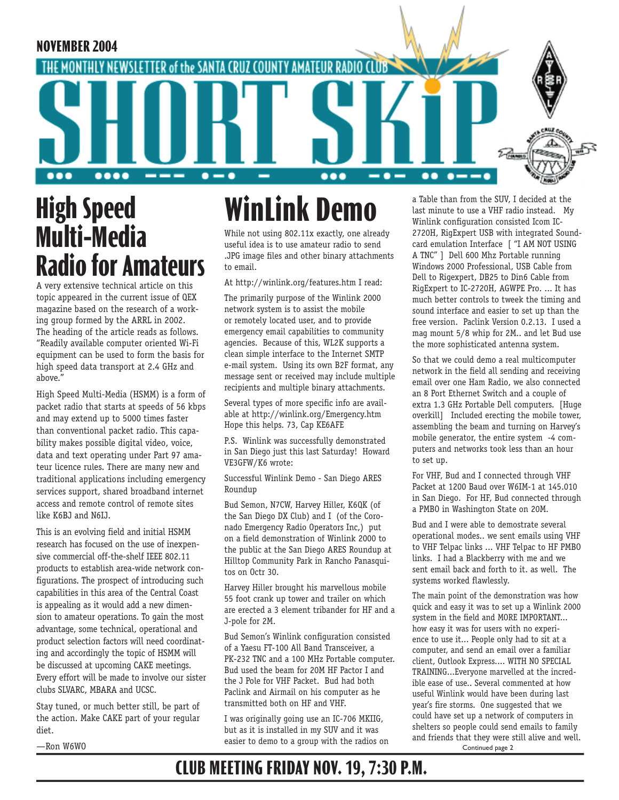

# **High Speed Multi-Media Radio for Amateurs**

A very extensive technical article on this topic appeared in the current issue of QEX magazine based on the research of a working group formed by the ARRL in 2002. The heading of the article reads as follows. "Readily available computer oriented Wi-Fi equipment can be used to form the basis for high speed data transport at 2.4 GHz and above."

High Speed Multi-Media (HSMM) is a form of packet radio that starts at speeds of 56 kbps and may extend up to 5000 times faster than conventional packet radio. This capability makes possible digital video, voice, data and text operating under Part 97 amateur licence rules. There are many new and traditional applications including emergency services support, shared broadband internet access and remote control of remote sites like K6BJ and N6IJ.

This is an evolving field and initial HSMM research has focused on the use of inexpensive commercial off-the-shelf IEEE 802.11 products to establish area-wide network configurations. The prospect of introducing such capabilities in this area of the Central Coast is appealing as it would add a new dimension to amateur operations. To gain the most advantage, some technical, operational and product selection factors will need coordinating and accordingly the topic of HSMM will be discussed at upcoming CAKE meetings. Every effort will be made to involve our sister clubs SLVARC, MBARA and UCSC.

Stay tuned, or much better still, be part of the action. Make CAKE part of your regular diet.

#### —Ron W6WO

# **WinLink Demo**

While not using 802.11x exactly, one already useful idea is to use amateur radio to send .JPG image files and other binary attachments to email.

At http://winlink.org/features.htm I read:

The primarily purpose of the Winlink 2000 network system is to assist the mobile or remotely located user, and to provide emergency email capabilities to community agencies. Because of this, WL2K supports a clean simple interface to the Internet SMTP e-mail system. Using its own B2F format, any message sent or received may include multiple recipients and multiple binary attachments.

Several types of more specific info are available at http://winlink.org/Emergency.htm Hope this helps. 73, Cap KE6AFE

P.S. Winlink was successfully demonstrated in San Diego just this last Saturday! Howard VE3GFW/K6 wrote:

Successful Winlink Demo - San Diego ARES Roundup

Bud Semon, N7CW, Harvey Hiller, K6QK (of the San Diego DX Club) and I (of the Coronado Emergency Radio Operators Inc,) put on a field demonstration of Winlink 2000 to the public at the San Diego ARES Roundup at Hilltop Community Park in Rancho Panasquitos on Octr 30.

Harvey Hiller brought his marvellous mobile 55 foot crank up tower and trailer on which are erected a 3 element tribander for HF and a J-pole for 2M.

Bud Semon's Winlink configuration consisted of a Yaesu FT-100 All Band Transceiver, a PK-232 TNC and a 100 MHz Portable computer. Bud used the beam for 20M HF Pactor I and the J Pole for VHF Packet. Bud had both Paclink and Airmail on his computer as he transmitted both on HF and VHF.

I was originally going use an IC-706 MKIIG, but as it is installed in my SUV and it was easier to demo to a group with the radios on a Table than from the SUV, I decided at the last minute to use a VHF radio instead. My Winlink configuration consisted Icom IC-2720H, RigExpert USB with integrated Soundcard emulation Interface [ "I AM NOT USING A TNC" ] Dell 600 Mhz Portable running Windows 2000 Professional, USB Cable from Dell to Rigexpert, DB25 to Din6 Cable from RigExpert to IC-2720H, AGWPE Pro. ... It has much better controls to tweek the timing and sound interface and easier to set up than the free version. Paclink Version 0.2.13. I used a mag mount 5/8 whip for 2M.. and let Bud use the more sophisticated antenna system.

So that we could demo a real multicomputer network in the field all sending and receiving email over one Ham Radio, we also connected an 8 Port Ethernet Switch and a couple of extra 1.3 GHz Portable Dell computers. [Huge overkill] Included erecting the mobile tower, assembling the beam and turning on Harvey's mobile generator, the entire system -4 computers and networks took less than an hour to set up.

For VHF, Bud and I connected through VHF Packet at 1200 Baud over W6IM-1 at 145.010 in San Diego. For HF, Bud connected through a PMBO in Washington State on 20M.

Bud and I were able to demostrate several operational modes.. we sent emails using VHF to VHF Telpac links ... VHF Telpac to HF PMBO links. I had a Blackberry with me and we sent email back and forth to it. as well. The systems worked flawlessly.

Continued page 2 The main point of the demonstration was how quick and easy it was to set up a Winlink 2000 system in the field and MORE IMPORTANT... how easy it was for users with no experience to use it... People only had to sit at a computer, and send an email over a familiar client, Outlook Express.... WITH NO SPECIAL TRAINING...Everyone marvelled at the incredible ease of use.. Several commented at how useful Winlink would have been during last year's fire storms. One suggested that we could have set up a network of computers in shelters so people could send emails to family and friends that they were still alive and well.

### **CLUB MEETING FRIDAY NOV. 19, 7:30 P.M.**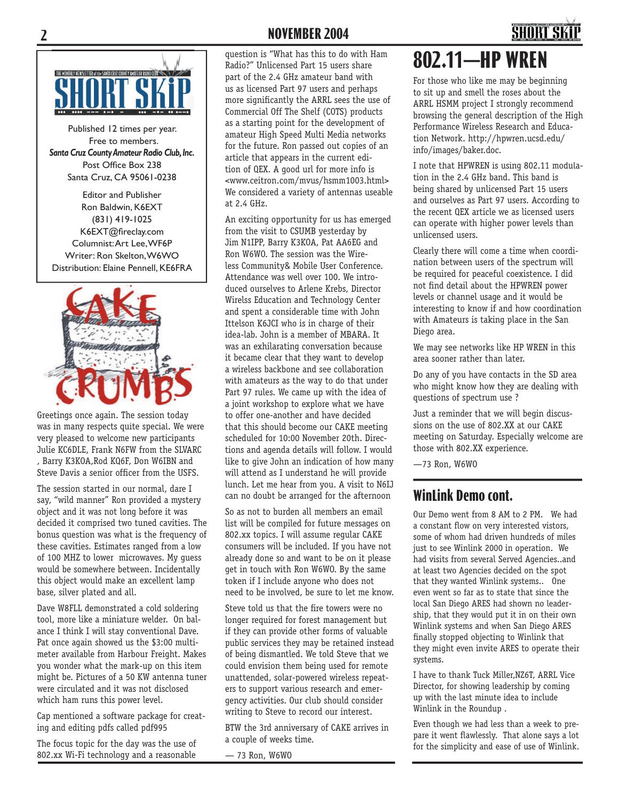### **2 NOVEMBER 2004**



Published 12 times per year. Free to members. *Santa Cruz County Amateur Radio Club, Inc.* Post Office Box 238 Santa Cruz, CA 95061-0238

Editor and Publisher Ron Baldwin, K6EXT (831) 419-1025 K6EXT@fireclay.com Columnist: Art Lee, WF6P Writer: Ron Skelton, W6WO Distribution: Elaine Pennell, KE6FRA



Greetings once again. The session today was in many respects quite special. We were very pleased to welcome new participants Julie KC6DLE, Frank N6FW from the SLVARC , Barry K3KOA,Rod KQ6F, Don W6IBN and Steve Davis a senior officer from the USFS.

The session started in our normal, dare I say, "wild manner" Ron provided a mystery object and it was not long before it was decided it comprised two tuned cavities. The bonus question was what is the frequency of these cavities. Estimates ranged from a low of 100 MHZ to lower microwaves. My guess would be somewhere between. Incidentally this object would make an excellent lamp base, silver plated and all.

Dave W8FLL demonstrated a cold soldering tool, more like a miniature welder. On balance I think I will stay conventional Dave. Pat once again showed us the \$3:00 multimeter available from Harbour Freight. Makes you wonder what the mark-up on this item might be. Pictures of a 50 KW antenna tuner were circulated and it was not disclosed which ham runs this power level.

Cap mentioned a software package for creating and editing pdfs called pdf995

The focus topic for the day was the use of 802.xx Wi-Fi technology and a reasonable

question is "What has this to do with Ham Radio?" Unlicensed Part 15 users share part of the 2.4 GHz amateur band with us as licensed Part 97 users and perhaps more significantly the ARRL sees the use of Commercial Off The Shelf (COTS) products as a starting point for the development of amateur High Speed Multi Media networks for the future. Ron passed out copies of an article that appears in the current edition of QEX. A good url for more info is <www.ceitron.com/mvus/hsmm1003.html> We considered a variety of antennas useable at 2.4 GHz.

An exciting opportunity for us has emerged from the visit to CSUMB yesterday by Jim N1IPP, Barry K3KOA, Pat AA6EG and Ron W6WO. The session was the Wireless Community& Mobile User Conference. Attendance was well over 100. We introduced ourselves to Arlene Krebs, Director Wirelss Education and Technology Center and spent a considerable time with John Ittelson K6JCI who is in charge of their idea-lab. John is a member of MBARA. It was an exhilarating conversation because it became clear that they want to develop a wireless backbone and see collaboration with amateurs as the way to do that under Part 97 rules. We came up with the idea of a joint workshop to explore what we have to offer one-another and have decided that this should become our CAKE meeting scheduled for 10:00 November 20th. Directions and agenda details will follow. I would like to give John an indication of how many will attend as I understand he will provide lunch. Let me hear from you. A visit to N6IJ can no doubt be arranged for the afternoon

So as not to burden all members an email list will be compiled for future messages on 802.xx topics. I will assume regular CAKE consumers will be included. If you have not already done so and want to be on it please get in touch with Ron W6WO. By the same token if I include anyone who does not need to be involved, be sure to let me know.

Steve told us that the fire towers were no longer required for forest management but if they can provide other forms of valuable public services they may be retained instead of being dismantled. We told Steve that we could envision them being used for remote unattended, solar-powered wireless repeaters to support various research and emergency activities. Our club should consider writing to Steve to record our interest.

BTW the 3rd anniversary of CAKE arrives in a couple of weeks time.

— 73 Ron, W6WO

# **802.11—HP WREN**

For those who like me may be beginning to sit up and smell the roses about the ARRL HSMM project I strongly recommend browsing the general description of the High Performance Wireless Research and Education Network. http://hpwren.ucsd.edu/ info/images/baker.doc.

I note that HPWREN is using 802.11 modulation in the 2.4 GHz band. This band is being shared by unlicensed Part 15 users and ourselves as Part 97 users. According to the recent QEX article we as licensed users can operate with higher power levels than unlicensed users.

Clearly there will come a time when coordination between users of the spectrum will be required for peaceful coexistence. I did not find detail about the HPWREN power levels or channel usage and it would be interesting to know if and how coordination with Amateurs is taking place in the San Diego area.

We may see networks like HP WREN in this area sooner rather than later.

Do any of you have contacts in the SD area who might know how they are dealing with questions of spectrum use ?

Just a reminder that we will begin discussions on the use of 802.XX at our CAKE meeting on Saturday. Especially welcome are those with 802.XX experience.

—73 Ron, W6WO

#### **WinLink Demo cont.**

Our Demo went from 8 AM to 2 PM. We had a constant flow on very interested vistors, some of whom had driven hundreds of miles just to see Winlink 2000 in operation. We had visits from several Served Agencies..and at least two Agencies decided on the spot that they wanted Winlink systems.. One even went so far as to state that since the local San Diego ARES had shown no leadership, that they would put it in on their own Winlink systems and when San Diego ARES finally stopped objecting to Winlink that they might even invite ARES to operate their systems.

I have to thank Tuck Miller,NZ6T, ARRL Vice Director, for showing leadership by coming up with the last minute idea to include Winlink in the Roundup .

Even though we had less than a week to prepare it went flawlessly. That alone says a lot for the simplicity and ease of use of Winlink.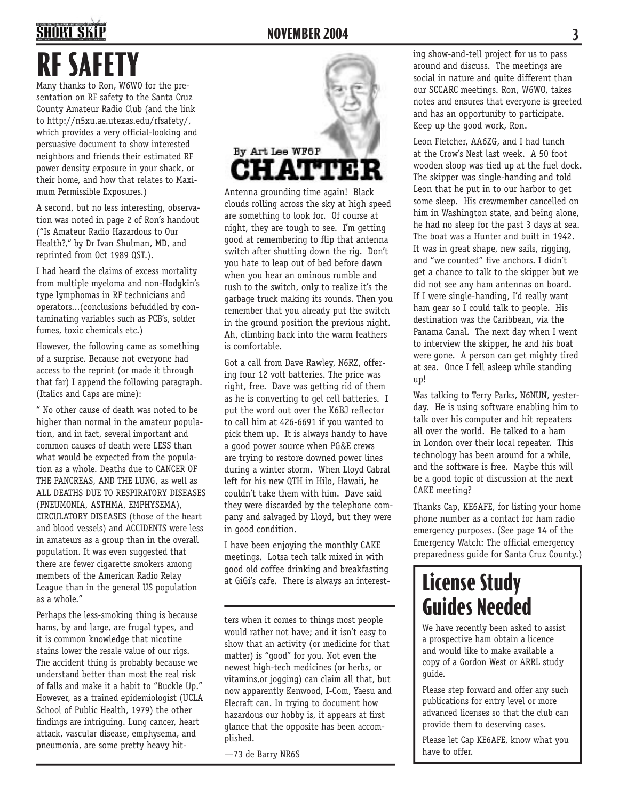# **SHORT SKII RF SAFETY**

Many thanks to Ron, W6WO for the presentation on RF safety to the Santa Cruz County Amateur Radio Club (and the link to http://n5xu.ae.utexas.edu/rfsafety/, which provides a very official-looking and persuasive document to show interested neighbors and friends their estimated RF power density exposure in your shack, or their home, and how that relates to Maximum Permissible Exposures.)

A second, but no less interesting, observation was noted in page 2 of Ron's handout ("Is Amateur Radio Hazardous to Our Health?," by Dr Ivan Shulman, MD, and reprinted from Oct 1989 QST.).

I had heard the claims of excess mortality from multiple myeloma and non-Hodgkin's type lymphomas in RF technicians and operators...(conclusions befuddled by contaminating variables such as PCB's, solder fumes, toxic chemicals etc.)

However, the following came as something of a surprise. Because not everyone had access to the reprint (or made it through that far) I append the following paragraph. (Italics and Caps are mine):

" No other cause of death was noted to be higher than normal in the amateur population, and in fact, several important and common causes of death were LESS than what would be expected from the population as a whole. Deaths due to CANCER OF THE PANCREAS, AND THE LUNG, as well as ALL DEATHS DUE TO RESPIRATORY DISEASES (PNEUMONIA, ASTHMA, EMPHYSEMA), CIRCULATORY DISEASES (those of the heart and blood vessels) and ACCIDENTS were less in amateurs as a group than in the overall population. It was even suggested that there are fewer cigarette smokers among members of the American Radio Relay League than in the general US population as a whole."

Perhaps the less-smoking thing is because hams, by and large, are frugal types, and it is common knowledge that nicotine stains lower the resale value of our rigs. The accident thing is probably because we understand better than most the real risk of falls and make it a habit to "Buckle Up." However, as a trained epidemiologist (UCLA School of Public Health, 1979) the other findings are intriguing. Lung cancer, heart attack, vascular disease, emphysema, and pneumonia, are some pretty heavy hit-



Antenna grounding time again! Black clouds rolling across the sky at high speed are something to look for. Of course at night, they are tough to see. I'm getting good at remembering to flip that antenna switch after shutting down the rig. Don't you hate to leap out of bed before dawn when you hear an ominous rumble and rush to the switch, only to realize it's the garbage truck making its rounds. Then you remember that you already put the switch in the ground position the previous night. Ah, climbing back into the warm feathers is comfortable.

Got a call from Dave Rawley, N6RZ, offering four 12 volt batteries. The price was right, free. Dave was getting rid of them as he is converting to gel cell batteries. I put the word out over the K6BJ reflector to call him at 426-6691 if you wanted to pick them up. It is always handy to have a good power source when PG&E crews are trying to restore downed power lines during a winter storm. When Lloyd Cabral left for his new QTH in Hilo, Hawaii, he couldn't take them with him. Dave said they were discarded by the telephone company and salvaged by Lloyd, but they were in good condition.

I have been enjoying the monthly CAKE meetings. Lotsa tech talk mixed in with good old coffee drinking and breakfasting at GiGi's cafe. There is always an interest-

ters when it comes to things most people would rather not have; and it isn't easy to show that an activity (or medicine for that matter) is "good" for you. Not even the newest high-tech medicines (or herbs, or vitamins,or jogging) can claim all that, but now apparently Kenwood, I-Com, Yaesu and Elecraft can. In trying to document how hazardous our hobby is, it appears at first glance that the opposite has been accomplished.

—73 de Barry NR6S

ing show-and-tell project for us to pass around and discuss. The meetings are social in nature and quite different than our SCCARC meetings. Ron, W6WO, takes notes and ensures that everyone is greeted and has an opportunity to participate. Keep up the good work, Ron.

Leon Fletcher, AA6ZG, and I had lunch at the Crow's Nest last week. A 50 foot wooden sloop was tied up at the fuel dock. The skipper was single-handing and told Leon that he put in to our harbor to get some sleep. His crewmember cancelled on him in Washington state, and being alone, he had no sleep for the past 3 days at sea. The boat was a Hunter and built in 1942. It was in great shape, new sails, rigging, and "we counted" five anchors. I didn't get a chance to talk to the skipper but we did not see any ham antennas on board. If I were single-handing, I'd really want ham gear so I could talk to people. His destination was the Caribbean, via the Panama Canal. The next day when I went to interview the skipper, he and his boat were gone. A person can get mighty tired at sea. Once I fell asleep while standing up!

Was talking to Terry Parks, N6NUN, yesterday. He is using software enabling him to talk over his computer and hit repeaters all over the world. He talked to a ham in London over their local repeater. This technology has been around for a while, and the software is free. Maybe this will be a good topic of discussion at the next CAKE meeting?

Thanks Cap, KE6AFE, for listing your home phone number as a contact for ham radio emergency purposes. (See page 14 of the Emergency Watch: The official emergency preparedness guide for Santa Cruz County.)

# **License Study Guides Needed**

We have recently been asked to assist a prospective ham obtain a licence and would like to make available a copy of a Gordon West or ARRL study guide.

Please step forward and offer any such publications for entry level or more advanced licenses so that the club can provide them to deserving cases.

Please let Cap KE6AFE, know what you have to offer.